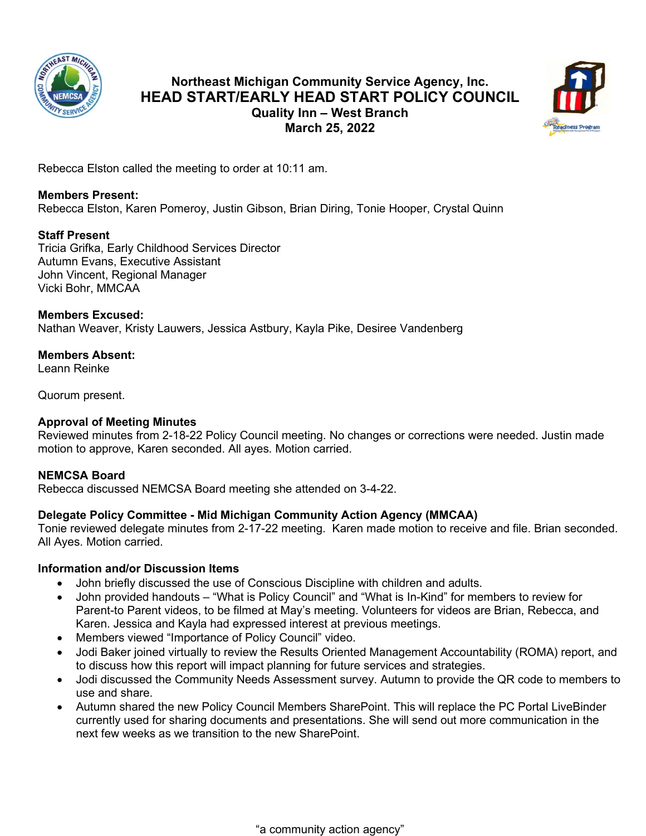

# **Northeast Michigan Community Service Agency, Inc. HEAD START/EARLY HEAD START POLICY COUNCIL Quality Inn – West Branch March 25, 2022**



Rebecca Elston called the meeting to order at 10:11 am.

# **Members Present:**

Rebecca Elston, Karen Pomeroy, Justin Gibson, Brian Diring, Tonie Hooper, Crystal Quinn

# **Staff Present**

Tricia Grifka, Early Childhood Services Director Autumn Evans, Executive Assistant John Vincent, Regional Manager Vicki Bohr, MMCAA

## **Members Excused:**

Nathan Weaver, Kristy Lauwers, Jessica Astbury, Kayla Pike, Desiree Vandenberg

# **Members Absent:**

Leann Reinke

Quorum present.

# **Approval of Meeting Minutes**

Reviewed minutes from 2-18-22 Policy Council meeting. No changes or corrections were needed. Justin made motion to approve, Karen seconded. All ayes. Motion carried.

# **NEMCSA Board**

Rebecca discussed NEMCSA Board meeting she attended on 3-4-22.

# **Delegate Policy Committee - Mid Michigan Community Action Agency (MMCAA)**

Tonie reviewed delegate minutes from 2-17-22 meeting. Karen made motion to receive and file. Brian seconded. All Ayes. Motion carried.

# **Information and/or Discussion Items**

- John briefly discussed the use of Conscious Discipline with children and adults.
- John provided handouts "What is Policy Council" and "What is In-Kind" for members to review for Parent-to Parent videos, to be filmed at May's meeting. Volunteers for videos are Brian, Rebecca, and Karen. Jessica and Kayla had expressed interest at previous meetings.
- Members viewed "Importance of Policy Council" video.
- Jodi Baker joined virtually to review the Results Oriented Management Accountability (ROMA) report, and to discuss how this report will impact planning for future services and strategies.
- Jodi discussed the Community Needs Assessment survey. Autumn to provide the QR code to members to use and share.
- Autumn shared the new Policy Council Members SharePoint. This will replace the PC Portal LiveBinder currently used for sharing documents and presentations. She will send out more communication in the next few weeks as we transition to the new SharePoint.